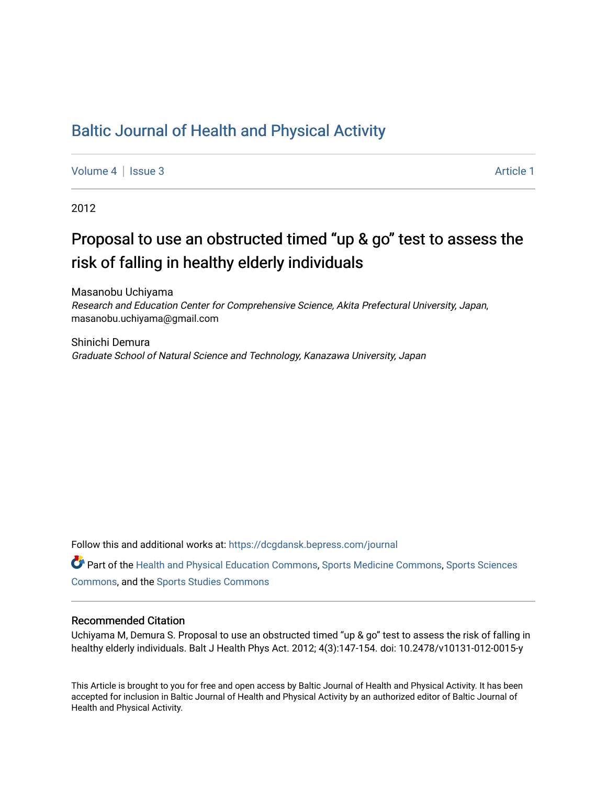# [Baltic Journal of Health and Physical Activity](https://dcgdansk.bepress.com/journal)

[Volume 4](https://dcgdansk.bepress.com/journal/vol4) | [Issue 3](https://dcgdansk.bepress.com/journal/vol4/iss3) Article 1

2012

# Proposal to use an obstructed timed "up & go" test to assess the risk of falling in healthy elderly individuals

Masanobu Uchiyama Research and Education Center for Comprehensive Science, Akita Prefectural University, Japan, masanobu.uchiyama@gmail.com

Shinichi Demura Graduate School of Natural Science and Technology, Kanazawa University, Japan

Follow this and additional works at: [https://dcgdansk.bepress.com/journal](https://dcgdansk.bepress.com/journal?utm_source=dcgdansk.bepress.com%2Fjournal%2Fvol4%2Fiss3%2F1&utm_medium=PDF&utm_campaign=PDFCoverPages)

Part of the [Health and Physical Education Commons](http://network.bepress.com/hgg/discipline/1327?utm_source=dcgdansk.bepress.com%2Fjournal%2Fvol4%2Fiss3%2F1&utm_medium=PDF&utm_campaign=PDFCoverPages), [Sports Medicine Commons,](http://network.bepress.com/hgg/discipline/1331?utm_source=dcgdansk.bepress.com%2Fjournal%2Fvol4%2Fiss3%2F1&utm_medium=PDF&utm_campaign=PDFCoverPages) [Sports Sciences](http://network.bepress.com/hgg/discipline/759?utm_source=dcgdansk.bepress.com%2Fjournal%2Fvol4%2Fiss3%2F1&utm_medium=PDF&utm_campaign=PDFCoverPages) [Commons](http://network.bepress.com/hgg/discipline/759?utm_source=dcgdansk.bepress.com%2Fjournal%2Fvol4%2Fiss3%2F1&utm_medium=PDF&utm_campaign=PDFCoverPages), and the [Sports Studies Commons](http://network.bepress.com/hgg/discipline/1198?utm_source=dcgdansk.bepress.com%2Fjournal%2Fvol4%2Fiss3%2F1&utm_medium=PDF&utm_campaign=PDFCoverPages) 

#### Recommended Citation

Uchiyama M, Demura S. Proposal to use an obstructed timed "up & go" test to assess the risk of falling in healthy elderly individuals. Balt J Health Phys Act. 2012; 4(3):147-154. doi: 10.2478/v10131-012-0015-y

This Article is brought to you for free and open access by Baltic Journal of Health and Physical Activity. It has been accepted for inclusion in Baltic Journal of Health and Physical Activity by an authorized editor of Baltic Journal of Health and Physical Activity.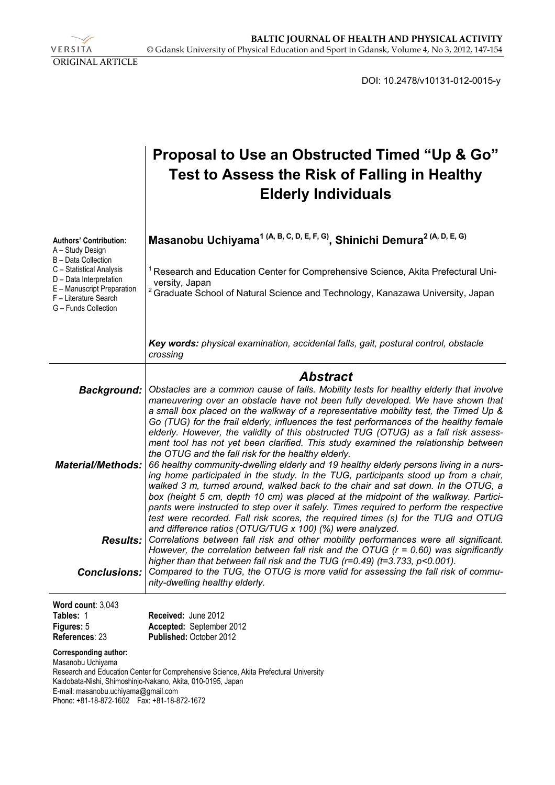VERSITA ORIGINAL ARTICLE

DOI: 10.2478/v10131-012-0015-y

# **Proposal to Use an Obstructed Timed "Up & Go" Test to Assess the Risk of Falling in Healthy Elderly Individuals**

| <b>Authors' Contribution:</b><br>A - Study Design<br>B - Data Collection<br>C - Statistical Analysis<br>D - Data Interpretation<br>E - Manuscript Preparation<br>F - Literature Search<br>G - Funds Collection | Masanobu Uchiyama <sup>1 (A, B, C, D, E, F, G)</sup> , Shinichi Demura <sup>2 (A, D, E, G)</sup><br><sup>1</sup> Research and Education Center for Comprehensive Science, Akita Prefectural Uni-<br>versity, Japan<br><sup>2</sup> Graduate School of Natural Science and Technology, Kanazawa University, Japan                                                                                                                                                                                                                                                                                                                                                                                                                                                                                                                                                                                                                                                                                                                              |
|----------------------------------------------------------------------------------------------------------------------------------------------------------------------------------------------------------------|-----------------------------------------------------------------------------------------------------------------------------------------------------------------------------------------------------------------------------------------------------------------------------------------------------------------------------------------------------------------------------------------------------------------------------------------------------------------------------------------------------------------------------------------------------------------------------------------------------------------------------------------------------------------------------------------------------------------------------------------------------------------------------------------------------------------------------------------------------------------------------------------------------------------------------------------------------------------------------------------------------------------------------------------------|
|                                                                                                                                                                                                                | Key words: physical examination, accidental falls, gait, postural control, obstacle<br>crossing                                                                                                                                                                                                                                                                                                                                                                                                                                                                                                                                                                                                                                                                                                                                                                                                                                                                                                                                               |
|                                                                                                                                                                                                                | <b>Abstract</b>                                                                                                                                                                                                                                                                                                                                                                                                                                                                                                                                                                                                                                                                                                                                                                                                                                                                                                                                                                                                                               |
| <b>Background:</b>                                                                                                                                                                                             | Obstacles are a common cause of falls. Mobility tests for healthy elderly that involve                                                                                                                                                                                                                                                                                                                                                                                                                                                                                                                                                                                                                                                                                                                                                                                                                                                                                                                                                        |
| <b>Material/Methods:</b>                                                                                                                                                                                       | maneuvering over an obstacle have not been fully developed. We have shown that<br>a small box placed on the walkway of a representative mobility test, the Timed Up &<br>Go (TUG) for the frail elderly, influences the test performances of the healthy female<br>elderly. However, the validity of this obstructed TUG (OTUG) as a fall risk assess-<br>ment tool has not yet been clarified. This study examined the relationship between<br>the OTUG and the fall risk for the healthy elderly.<br>66 healthy community-dwelling elderly and 19 healthy elderly persons living in a nurs-<br>ing home participated in the study. In the TUG, participants stood up from a chair,<br>walked 3 m, turned around, walked back to the chair and sat down. In the OTUG, a<br>box (height 5 cm, depth 10 cm) was placed at the midpoint of the walkway. Partici-<br>pants were instructed to step over it safely. Times required to perform the respective<br>test were recorded. Fall risk scores, the required times (s) for the TUG and OTUG |
| <b>Results:</b>                                                                                                                                                                                                | and difference ratios (OTUG/TUG x 100) (%) were analyzed.<br>Correlations between fall risk and other mobility performances were all significant.<br>However, the correlation between fall risk and the OTUG $(r = 0.60)$ was significantly<br>higher than that between fall risk and the TUG ( $r=0.49$ ) ( $t=3.733$ , $p<0.001$ ).                                                                                                                                                                                                                                                                                                                                                                                                                                                                                                                                                                                                                                                                                                         |
| <b>Conclusions:</b>                                                                                                                                                                                            | Compared to the TUG, the OTUG is more valid for assessing the fall risk of commu-<br>nity-dwelling healthy elderly.                                                                                                                                                                                                                                                                                                                                                                                                                                                                                                                                                                                                                                                                                                                                                                                                                                                                                                                           |
| Word count: 3,043                                                                                                                                                                                              |                                                                                                                                                                                                                                                                                                                                                                                                                                                                                                                                                                                                                                                                                                                                                                                                                                                                                                                                                                                                                                               |

| $\mathbf{r}$   |                                |
|----------------|--------------------------------|
| Tables: 1      | <b>Received: June 2012</b>     |
| Figures: 5     | Accepted: September 2012       |
| References: 23 | <b>Published: October 2012</b> |

**Corresponding author:** 

Masanobu Uchiyama Research and Education Center for Comprehensive Science, Akita Prefectural University Kaidobata-Nishi, Shimoshinjo-Nakano, Akita, 010-0195, Japan E-mail: masanobu.uchiyama@gmail.com Phone: +81-18-872-1602 Fax: +81-18-872-1672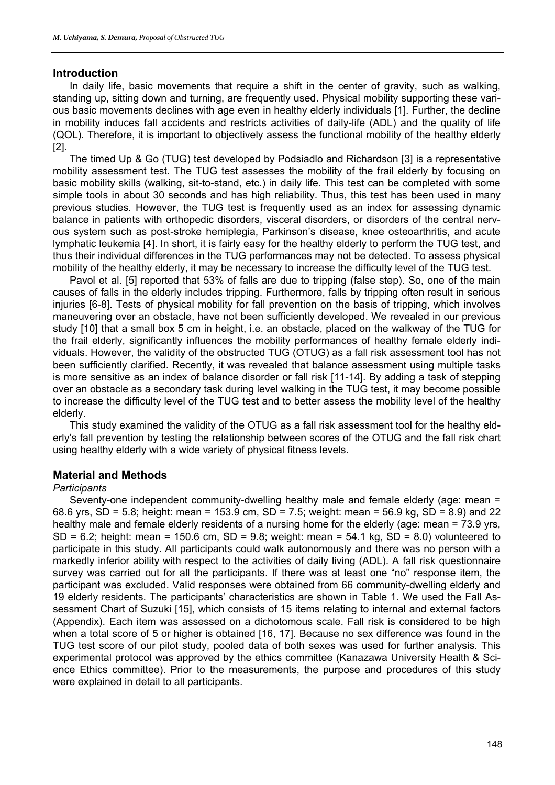# **Introduction**

In daily life, basic movements that require a shift in the center of gravity, such as walking, standing up, sitting down and turning, are frequently used. Physical mobility supporting these various basic movements declines with age even in healthy elderly individuals [1]. Further, the decline in mobility induces fall accidents and restricts activities of daily-life (ADL) and the quality of life (QOL). Therefore, it is important to objectively assess the functional mobility of the healthy elderly [2].

The timed Up & Go (TUG) test developed by Podsiadlo and Richardson [3] is a representative mobility assessment test. The TUG test assesses the mobility of the frail elderly by focusing on basic mobility skills (walking, sit-to-stand, etc.) in daily life. This test can be completed with some simple tools in about 30 seconds and has high reliability. Thus, this test has been used in many previous studies. However, the TUG test is frequently used as an index for assessing dynamic balance in patients with orthopedic disorders, visceral disorders, or disorders of the central nervous system such as post-stroke hemiplegia, Parkinson's disease, knee osteoarthritis, and acute lymphatic leukemia [4]. In short, it is fairly easy for the healthy elderly to perform the TUG test, and thus their individual differences in the TUG performances may not be detected. To assess physical mobility of the healthy elderly, it may be necessary to increase the difficulty level of the TUG test.

Pavol et al. [5] reported that 53% of falls are due to tripping (false step). So, one of the main causes of falls in the elderly includes tripping. Furthermore, falls by tripping often result in serious injuries [6-8]. Tests of physical mobility for fall prevention on the basis of tripping, which involves maneuvering over an obstacle, have not been sufficiently developed. We revealed in our previous study [10] that a small box 5 cm in height, i.e. an obstacle, placed on the walkway of the TUG for the frail elderly, significantly influences the mobility performances of healthy female elderly individuals. However, the validity of the obstructed TUG (OTUG) as a fall risk assessment tool has not been sufficiently clarified. Recently, it was revealed that balance assessment using multiple tasks is more sensitive as an index of balance disorder or fall risk [11-14]. By adding a task of stepping over an obstacle as a secondary task during level walking in the TUG test, it may become possible to increase the difficulty level of the TUG test and to better assess the mobility level of the healthy elderly.

This study examined the validity of the OTUG as a fall risk assessment tool for the healthy elderly's fall prevention by testing the relationship between scores of the OTUG and the fall risk chart using healthy elderly with a wide variety of physical fitness levels.

# **Material and Methods**

## *Participants*

Seventy-one independent community-dwelling healthy male and female elderly (age: mean = 68.6 yrs, SD = 5.8; height: mean = 153.9 cm, SD = 7.5; weight: mean = 56.9 kg, SD = 8.9) and 22 healthy male and female elderly residents of a nursing home for the elderly (age: mean = 73.9 yrs,  $SD = 6.2$ ; height: mean = 150.6 cm,  $SD = 9.8$ ; weight: mean = 54.1 kg,  $SD = 8.0$ ) volunteered to participate in this study. All participants could walk autonomously and there was no person with a markedly inferior ability with respect to the activities of daily living (ADL). A fall risk questionnaire survey was carried out for all the participants. If there was at least one "no" response item, the participant was excluded. Valid responses were obtained from 66 community-dwelling elderly and 19 elderly residents. The participants' characteristics are shown in Table 1. We used the Fall Assessment Chart of Suzuki [15], which consists of 15 items relating to internal and external factors (Appendix). Each item was assessed on a dichotomous scale. Fall risk is considered to be high when a total score of 5 or higher is obtained [16, 17]. Because no sex difference was found in the TUG test score of our pilot study, pooled data of both sexes was used for further analysis. This experimental protocol was approved by the ethics committee (Kanazawa University Health & Science Ethics committee). Prior to the measurements, the purpose and procedures of this study were explained in detail to all participants.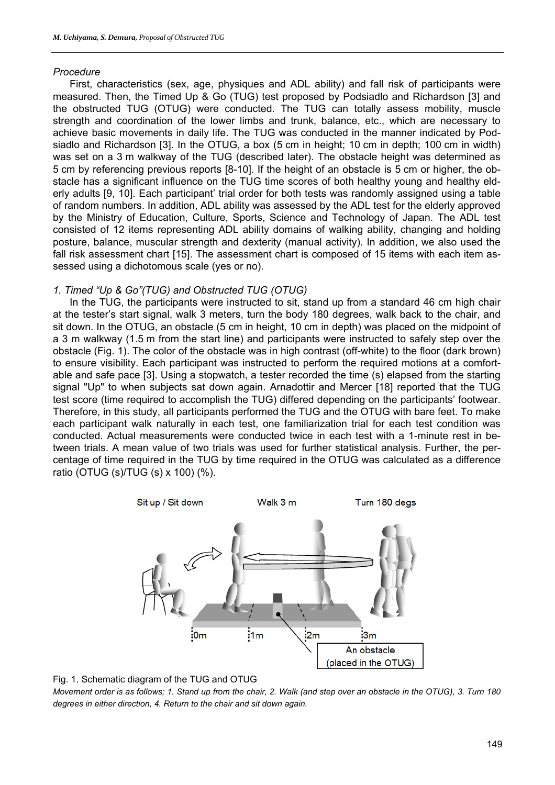# *Procedure*

First, characteristics (sex, age, physiques and ADL ability) and fall risk of participants were measured. Then, the Timed Up & Go (TUG) test proposed by Podsiadlo and Richardson [3] and the obstructed TUG (OTUG) were conducted. The TUG can totally assess mobility, muscle strength and coordination of the lower limbs and trunk, balance, etc., which are necessary to achieve basic movements in daily life. The TUG was conducted in the manner indicated by Podsiadlo and Richardson [3]. In the OTUG, a box (5 cm in height; 10 cm in depth; 100 cm in width) was set on a 3 m walkway of the TUG (described later). The obstacle height was determined as 5 cm by referencing previous reports [8-10]. If the height of an obstacle is 5 cm or higher, the obstacle has a significant influence on the TUG time scores of both healthy young and healthy elderly adults [9, 10]. Each participant' trial order for both tests was randomly assigned using a table of random numbers. In addition, ADL ability was assessed by the ADL test for the elderly approved by the Ministry of Education, Culture, Sports, Science and Technology of Japan. The ADL test consisted of 12 items representing ADL ability domains of walking ability, changing and holding posture, balance, muscular strength and dexterity (manual activity). In addition, we also used the fall risk assessment chart [15]. The assessment chart is composed of 15 items with each item assessed using a dichotomous scale (yes or no).

# *1. Timed "Up & Go"(TUG) and Obstructed TUG (OTUG)*

In the TUG, the participants were instructed to sit, stand up from a standard 46 cm high chair at the tester's start signal, walk 3 meters, turn the body 180 degrees, walk back to the chair, and sit down. In the OTUG, an obstacle (5 cm in height, 10 cm in depth) was placed on the midpoint of a 3 m walkway (1.5 m from the start line) and participants were instructed to safely step over the obstacle (Fig. 1). The color of the obstacle was in high contrast (off-white) to the floor (dark brown) to ensure visibility. Each participant was instructed to perform the required motions at a comfortable and safe pace [3]. Using a stopwatch, a tester recorded the time (s) elapsed from the starting signal "Up" to when subjects sat down again. Arnadottir and Mercer [18] reported that the TUG test score (time required to accomplish the TUG) differed depending on the participants' footwear. Therefore, in this study, all participants performed the TUG and the OTUG with bare feet. To make each participant walk naturally in each test, one familiarization trial for each test condition was conducted. Actual measurements were conducted twice in each test with a 1-minute rest in between trials. A mean value of two trials was used for further statistical analysis. Further, the percentage of time required in the TUG by time required in the OTUG was calculated as a difference ratio (OTUG (s)/TUG (s) x 100) (%).





*Movement order is as follows; 1. Stand up from the chair, 2. Walk (and step over an obstacle in the OTUG), 3. Turn 180 degrees in either direction, 4. Return to the chair and sit down again.*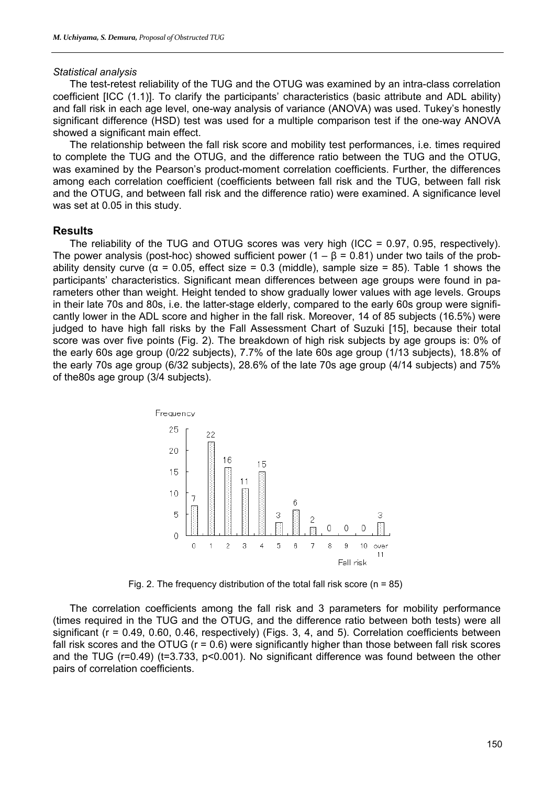#### *Statistical analysis*

The test-retest reliability of the TUG and the OTUG was examined by an intra-class correlation coefficient [ICC (1.1)]. To clarify the participants' characteristics (basic attribute and ADL ability) and fall risk in each age level, one-way analysis of variance (ANOVA) was used. Tukey's honestly significant difference (HSD) test was used for a multiple comparison test if the one-way ANOVA showed a significant main effect.

The relationship between the fall risk score and mobility test performances, i.e. times required to complete the TUG and the OTUG, and the difference ratio between the TUG and the OTUG, was examined by the Pearson's product-moment correlation coefficients. Further, the differences among each correlation coefficient (coefficients between fall risk and the TUG, between fall risk and the OTUG, and between fall risk and the difference ratio) were examined. A significance level was set at 0.05 in this study.

# **Results**

The reliability of the TUG and OTUG scores was very high (ICC = 0.97, 0.95, respectively). The power analysis (post-hoc) showed sufficient power ( $1 - \beta = 0.81$ ) under two tails of the probability density curve ( $\alpha$  = 0.05, effect size = 0.3 (middle), sample size = 85). Table 1 shows the participants' characteristics. Significant mean differences between age groups were found in parameters other than weight. Height tended to show gradually lower values with age levels. Groups in their late 70s and 80s, i.e. the latter-stage elderly, compared to the early 60s group were significantly lower in the ADL score and higher in the fall risk. Moreover, 14 of 85 subjects (16.5%) were judged to have high fall risks by the Fall Assessment Chart of Suzuki [15], because their total score was over five points (Fig. 2). The breakdown of high risk subjects by age groups is: 0% of the early 60s age group (0/22 subjects), 7.7% of the late 60s age group (1/13 subjects), 18.8% of the early 70s age group (6/32 subjects), 28.6% of the late 70s age group (4/14 subjects) and 75% of the80s age group (3/4 subjects).



Fig. 2. The frequency distribution of the total fall risk score ( $n = 85$ )

The correlation coefficients among the fall risk and 3 parameters for mobility performance (times required in the TUG and the OTUG, and the difference ratio between both tests) were all significant (r = 0.49, 0.60, 0.46, respectively) (Figs. 3, 4, and 5). Correlation coefficients between fall risk scores and the OTUG (r = 0.6) were significantly higher than those between fall risk scores and the TUG (r=0.49) (t=3.733, p<0.001). No significant difference was found between the other pairs of correlation coefficients.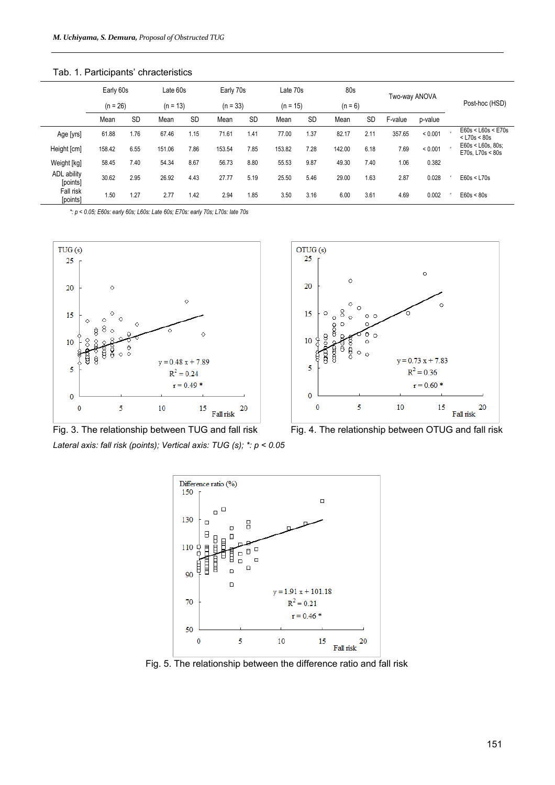|                         | Early 60s  |           | Late 60s   |           | Early 70s  |           | Late 70s   |           | 80s       |           | Two-way ANOVA |         | Post-hoc (HSD) |                                        |
|-------------------------|------------|-----------|------------|-----------|------------|-----------|------------|-----------|-----------|-----------|---------------|---------|----------------|----------------------------------------|
|                         | $(n = 26)$ |           | $(n = 13)$ |           | $(n = 33)$ |           | $(n = 15)$ |           | $(n = 6)$ |           |               |         |                |                                        |
|                         | Mean       | <b>SD</b> | Mean       | <b>SD</b> | Mean       | <b>SD</b> | Mean       | <b>SD</b> | Mean      | <b>SD</b> | F-value       | p-value |                |                                        |
| Age [yrs]               | 61.88      | 1.76      | 67.46      | 1.15      | 71.61      | 1.41      | 77.00      | 1.37      | 82.17     | 2.11      | 357.65        | < 0.001 |                | E60s < L60s < E70s<br>$<$ L70s $<$ 80s |
| Height [cm]             | 158.42     | 6.55      | 151.06     | 7.86      | 153.54     | 7.85      | 153.82     | 7.28      | 142.00    | 6.18      | 7.69          | < 0.001 |                | E60s < L60s, 80s;<br>E70s. L70s < 80s  |
| Weight [kg]             | 58.45      | 7.40      | 54.34      | 8.67      | 56.73      | 8.80      | 55.53      | 9.87      | 49.30     | 7.40      | 1.06          | 0.382   |                |                                        |
| ADL ability<br>[points] | 30.62      | 2.95      | 26.92      | 4.43      | 27.77      | 5.19      | 25.50      | 5.46      | 29.00     | 1.63      | 2.87          | 0.028   |                | E60s < L70s                            |
| Fall risk<br>[points]   | 1.50       | 1.27      | 2.77       | 1.42      | 2.94       | 1.85      | 3.50       | 3.16      | 6.00      | 3.61      | 4.69          | 0.002   |                | E60s < 80s                             |

Tab. 1. Participants' chracteristics

*\*: p < 0.05; E60s: early 60s; L60s: Late 60s; E70s: early 70s; L70s: late 70s*





*Lateral axis: fall risk (points); Vertical axis: TUG (s); \*: p < 0.05*





Fig. 5. The relationship between the difference ratio and fall risk

151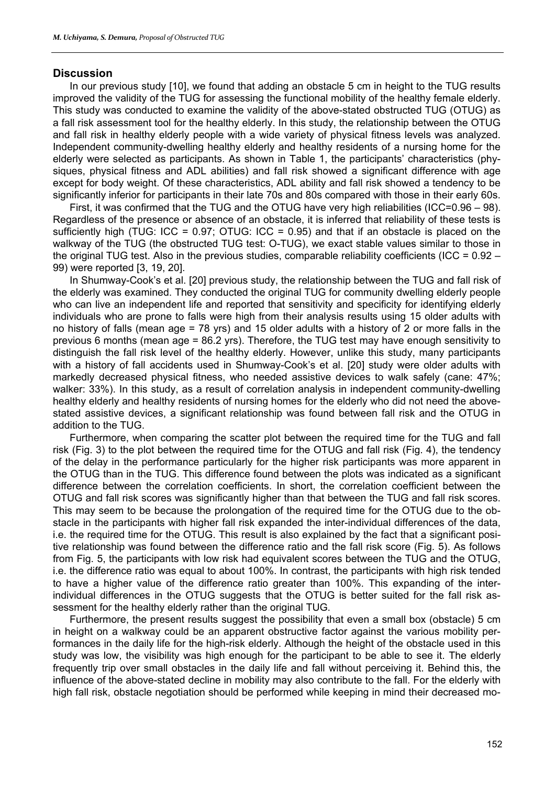#### **Discussion**

In our previous study [10], we found that adding an obstacle 5 cm in height to the TUG results improved the validity of the TUG for assessing the functional mobility of the healthy female elderly. This study was conducted to examine the validity of the above-stated obstructed TUG (OTUG) as a fall risk assessment tool for the healthy elderly. In this study, the relationship between the OTUG and fall risk in healthy elderly people with a wide variety of physical fitness levels was analyzed. Independent community-dwelling healthy elderly and healthy residents of a nursing home for the elderly were selected as participants. As shown in Table 1, the participants' characteristics (physiques, physical fitness and ADL abilities) and fall risk showed a significant difference with age except for body weight. Of these characteristics, ADL ability and fall risk showed a tendency to be significantly inferior for participants in their late 70s and 80s compared with those in their early 60s.

First, it was confirmed that the TUG and the OTUG have very high reliabilities (ICC=0.96 – 98). Regardless of the presence or absence of an obstacle, it is inferred that reliability of these tests is sufficiently high (TUG: ICC =  $0.97$ ; OTUG: ICC =  $0.95$ ) and that if an obstacle is placed on the walkway of the TUG (the obstructed TUG test: O-TUG), we exact stable values similar to those in the original TUG test. Also in the previous studies, comparable reliability coefficients (ICC = 0.92 – 99) were reported [3, 19, 20].

In Shumway-Cook's et al. [20] previous study, the relationship between the TUG and fall risk of the elderly was examined. They conducted the original TUG for community dwelling elderly people who can live an independent life and reported that sensitivity and specificity for identifying elderly individuals who are prone to falls were high from their analysis results using 15 older adults with no history of falls (mean age = 78 yrs) and 15 older adults with a history of 2 or more falls in the previous 6 months (mean age = 86.2 yrs). Therefore, the TUG test may have enough sensitivity to distinguish the fall risk level of the healthy elderly. However, unlike this study, many participants with a history of fall accidents used in Shumway-Cook's et al. [20] study were older adults with markedly decreased physical fitness, who needed assistive devices to walk safely (cane: 47%; walker: 33%). In this study, as a result of correlation analysis in independent community-dwelling healthy elderly and healthy residents of nursing homes for the elderly who did not need the abovestated assistive devices, a significant relationship was found between fall risk and the OTUG in addition to the TUG.

Furthermore, when comparing the scatter plot between the required time for the TUG and fall risk (Fig. 3) to the plot between the required time for the OTUG and fall risk (Fig. 4), the tendency of the delay in the performance particularly for the higher risk participants was more apparent in the OTUG than in the TUG. This difference found between the plots was indicated as a significant difference between the correlation coefficients. In short, the correlation coefficient between the OTUG and fall risk scores was significantly higher than that between the TUG and fall risk scores. This may seem to be because the prolongation of the required time for the OTUG due to the obstacle in the participants with higher fall risk expanded the inter-individual differences of the data, i.e. the required time for the OTUG. This result is also explained by the fact that a significant positive relationship was found between the difference ratio and the fall risk score (Fig. 5). As follows from Fig. 5, the participants with low risk had equivalent scores between the TUG and the OTUG, i.e. the difference ratio was equal to about 100%. In contrast, the participants with high risk tended to have a higher value of the difference ratio greater than 100%. This expanding of the interindividual differences in the OTUG suggests that the OTUG is better suited for the fall risk assessment for the healthy elderly rather than the original TUG.

Furthermore, the present results suggest the possibility that even a small box (obstacle) 5 cm in height on a walkway could be an apparent obstructive factor against the various mobility performances in the daily life for the high-risk elderly. Although the height of the obstacle used in this study was low, the visibility was high enough for the participant to be able to see it. The elderly frequently trip over small obstacles in the daily life and fall without perceiving it. Behind this, the influence of the above-stated decline in mobility may also contribute to the fall. For the elderly with high fall risk, obstacle negotiation should be performed while keeping in mind their decreased mo-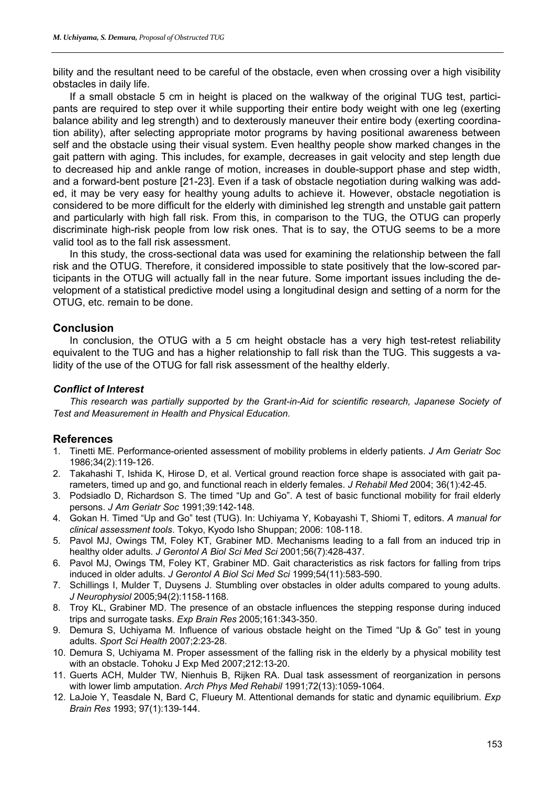bility and the resultant need to be careful of the obstacle, even when crossing over a high visibility obstacles in daily life.

If a small obstacle 5 cm in height is placed on the walkway of the original TUG test, participants are required to step over it while supporting their entire body weight with one leg (exerting balance ability and leg strength) and to dexterously maneuver their entire body (exerting coordination ability), after selecting appropriate motor programs by having positional awareness between self and the obstacle using their visual system. Even healthy people show marked changes in the gait pattern with aging. This includes, for example, decreases in gait velocity and step length due to decreased hip and ankle range of motion, increases in double-support phase and step width, and a forward-bent posture [21-23]. Even if a task of obstacle negotiation during walking was added, it may be very easy for healthy young adults to achieve it. However, obstacle negotiation is considered to be more difficult for the elderly with diminished leg strength and unstable gait pattern and particularly with high fall risk. From this, in comparison to the TUG, the OTUG can properly discriminate high-risk people from low risk ones. That is to say, the OTUG seems to be a more valid tool as to the fall risk assessment.

In this study, the cross-sectional data was used for examining the relationship between the fall risk and the OTUG. Therefore, it considered impossible to state positively that the low-scored participants in the OTUG will actually fall in the near future. Some important issues including the development of a statistical predictive model using a longitudinal design and setting of a norm for the OTUG, etc. remain to be done.

# **Conclusion**

In conclusion, the OTUG with a 5 cm height obstacle has a very high test-retest reliability equivalent to the TUG and has a higher relationship to fall risk than the TUG. This suggests a validity of the use of the OTUG for fall risk assessment of the healthy elderly.

# *Conflict of Interest*

*This research was partially supported by the Grant-in-Aid for scientific research, Japanese Society of Test and Measurement in Health and Physical Education.* 

## **References**

- 1. Tinetti ME. Performance-oriented assessment of mobility problems in elderly patients. *J Am Geriatr Soc* 1986;34(2):119-126.
- 2. Takahashi T, Ishida K, Hirose D, et al. Vertical ground reaction force shape is associated with gait parameters, timed up and go, and functional reach in elderly females. *J Rehabil Med* 2004; 36(1):42-45.
- 3. Podsiadlo D, Richardson S. The timed "Up and Go". A test of basic functional mobility for frail elderly persons. *J Am Geriatr Soc* 1991;39:142-148.
- 4. Gokan H. Timed "Up and Go" test (TUG). In: Uchiyama Y, Kobayashi T, Shiomi T, editors. *A manual for clinical assessment tools*. Tokyo, Kyodo Isho Shuppan; 2006: 108-118.
- 5. Pavol MJ, Owings TM, Foley KT, Grabiner MD. Mechanisms leading to a fall from an induced trip in healthy older adults. *J Gerontol A Biol Sci Med Sci* 2001;56(7):428-437.
- 6. Pavol MJ, Owings TM, Foley KT, Grabiner MD. Gait characteristics as risk factors for falling from trips induced in older adults. *J Gerontol A Biol Sci Med Sci* 1999;54(11):583-590.
- 7. Schillings I, Mulder T, Duysens J. Stumbling over obstacles in older adults compared to young adults. *J Neurophysiol* 2005;94(2):1158-1168.
- 8. Troy KL, Grabiner MD. The presence of an obstacle influences the stepping response during induced trips and surrogate tasks. *Exp Brain Res* 2005;161:343-350.
- 9. Demura S, Uchiyama M. Influence of various obstacle height on the Timed "Up & Go" test in young adults. *Sport Sci Health* 2007;2:23-28.
- 10. Demura S, Uchiyama M. Proper assessment of the falling risk in the elderly by a physical mobility test with an obstacle. Tohoku J Exp Med 2007;212:13-20.
- 11. Guerts ACH, Mulder TW, Nienhuis B, Rijken RA. Dual task assessment of reorganization in persons with lower limb amputation. *Arch Phys Med Rehabil* 1991;72(13):1059-1064.
- 12. LaJoie Y, Teasdale N, Bard C, Flueury M. Attentional demands for static and dynamic equilibrium. *Exp Brain Res* 1993; 97(1):139-144.